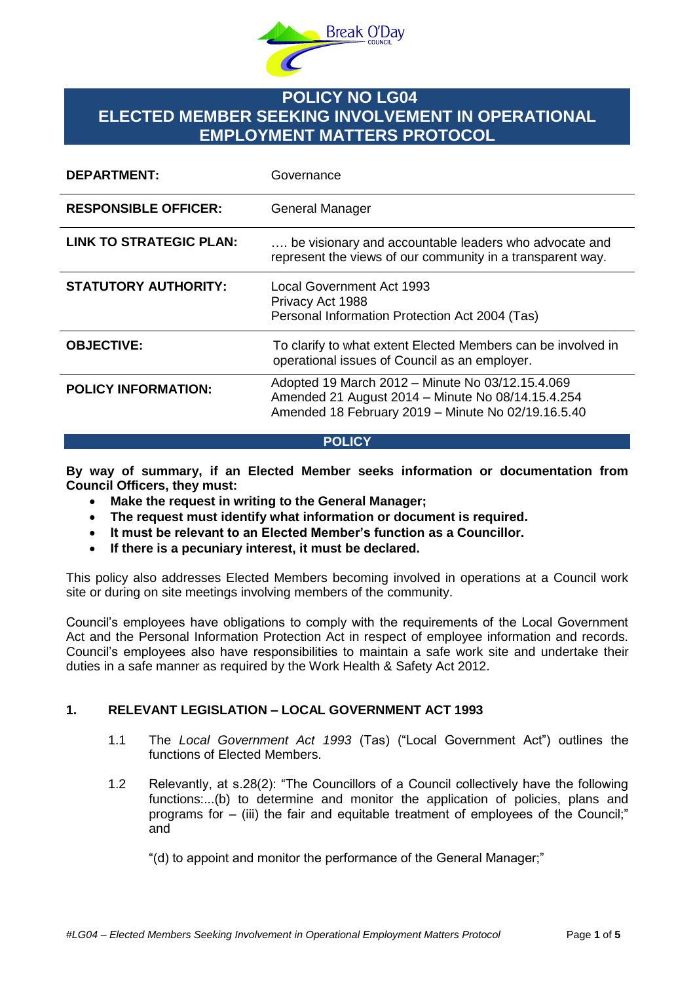

# **POLICY NO LG04 ELECTED MEMBER SEEKING INVOLVEMENT IN OPERATIONAL EMPLOYMENT MATTERS PROTOCOL**

| <b>DEPARTMENT:</b>          | Governance                                                                                                                                                  |
|-----------------------------|-------------------------------------------------------------------------------------------------------------------------------------------------------------|
| <b>RESPONSIBLE OFFICER:</b> | <b>General Manager</b>                                                                                                                                      |
| LINK TO STRATEGIC PLAN:     | be visionary and accountable leaders who advocate and<br>represent the views of our community in a transparent way.                                         |
| <b>STATUTORY AUTHORITY:</b> | Local Government Act 1993<br>Privacy Act 1988<br>Personal Information Protection Act 2004 (Tas)                                                             |
| <b>OBJECTIVE:</b>           | To clarify to what extent Elected Members can be involved in<br>operational issues of Council as an employer.                                               |
| <b>POLICY INFORMATION:</b>  | Adopted 19 March 2012 - Minute No 03/12.15.4.069<br>Amended 21 August 2014 - Minute No 08/14.15.4.254<br>Amended 18 February 2019 - Minute No 02/19.16.5.40 |

#### **POLICY**

**By way of summary, if an Elected Member seeks information or documentation from Council Officers, they must:**

- **Make the request in writing to the General Manager;**
- **The request must identify what information or document is required.**
- **It must be relevant to an Elected Member's function as a Councillor.**
- **If there is a pecuniary interest, it must be declared.**

This policy also addresses Elected Members becoming involved in operations at a Council work site or during on site meetings involving members of the community.

Council's employees have obligations to comply with the requirements of the Local Government Act and the Personal Information Protection Act in respect of employee information and records. Council's employees also have responsibilities to maintain a safe work site and undertake their duties in a safe manner as required by the Work Health & Safety Act 2012.

### **1. RELEVANT LEGISLATION – LOCAL GOVERNMENT ACT 1993**

- 1.1 The *Local Government Act 1993* (Tas) ("Local Government Act") outlines the functions of Elected Members.
- 1.2 Relevantly, at s.28(2): "The Councillors of a Council collectively have the following functions:...(b) to determine and monitor the application of policies, plans and programs for – (iii) the fair and equitable treatment of employees of the Council;" and

"(d) to appoint and monitor the performance of the General Manager;"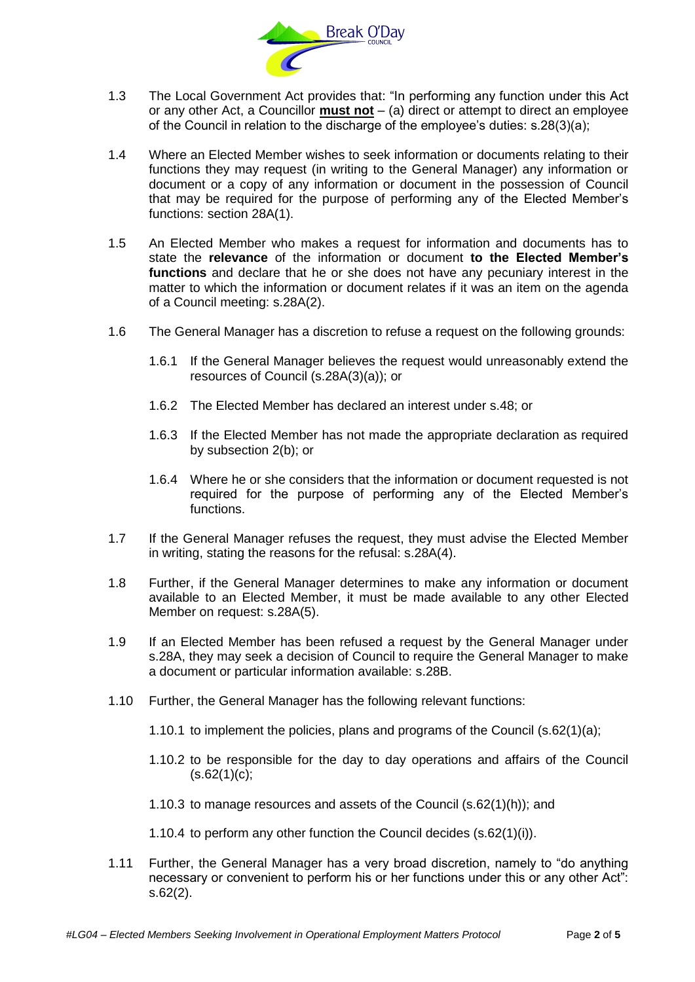

- 1.3 The Local Government Act provides that: "In performing any function under this Act or any other Act, a Councillor **must not** – (a) direct or attempt to direct an employee of the Council in relation to the discharge of the employee's duties: s.28(3)(a);
- 1.4 Where an Elected Member wishes to seek information or documents relating to their functions they may request (in writing to the General Manager) any information or document or a copy of any information or document in the possession of Council that may be required for the purpose of performing any of the Elected Member's functions: section 28A(1).
- 1.5 An Elected Member who makes a request for information and documents has to state the **relevance** of the information or document **to the Elected Member's functions** and declare that he or she does not have any pecuniary interest in the matter to which the information or document relates if it was an item on the agenda of a Council meeting: s.28A(2).
- 1.6 The General Manager has a discretion to refuse a request on the following grounds:
	- 1.6.1 If the General Manager believes the request would unreasonably extend the resources of Council (s.28A(3)(a)); or
	- 1.6.2 The Elected Member has declared an interest under s.48; or
	- 1.6.3 If the Elected Member has not made the appropriate declaration as required by subsection 2(b); or
	- 1.6.4 Where he or she considers that the information or document requested is not required for the purpose of performing any of the Elected Member's functions.
- 1.7 If the General Manager refuses the request, they must advise the Elected Member in writing, stating the reasons for the refusal: s.28A(4).
- 1.8 Further, if the General Manager determines to make any information or document available to an Elected Member, it must be made available to any other Elected Member on request: s.28A(5).
- 1.9 If an Elected Member has been refused a request by the General Manager under s.28A, they may seek a decision of Council to require the General Manager to make a document or particular information available: s.28B.
- 1.10 Further, the General Manager has the following relevant functions:
	- 1.10.1 to implement the policies, plans and programs of the Council (s.62(1)(a);
	- 1.10.2 to be responsible for the day to day operations and affairs of the Council  $(s.62(1)(c))$ ;
	- 1.10.3 to manage resources and assets of the Council (s.62(1)(h)); and
	- 1.10.4 to perform any other function the Council decides (s.62(1)(i)).
- 1.11 Further, the General Manager has a very broad discretion, namely to "do anything necessary or convenient to perform his or her functions under this or any other Act": s.62(2).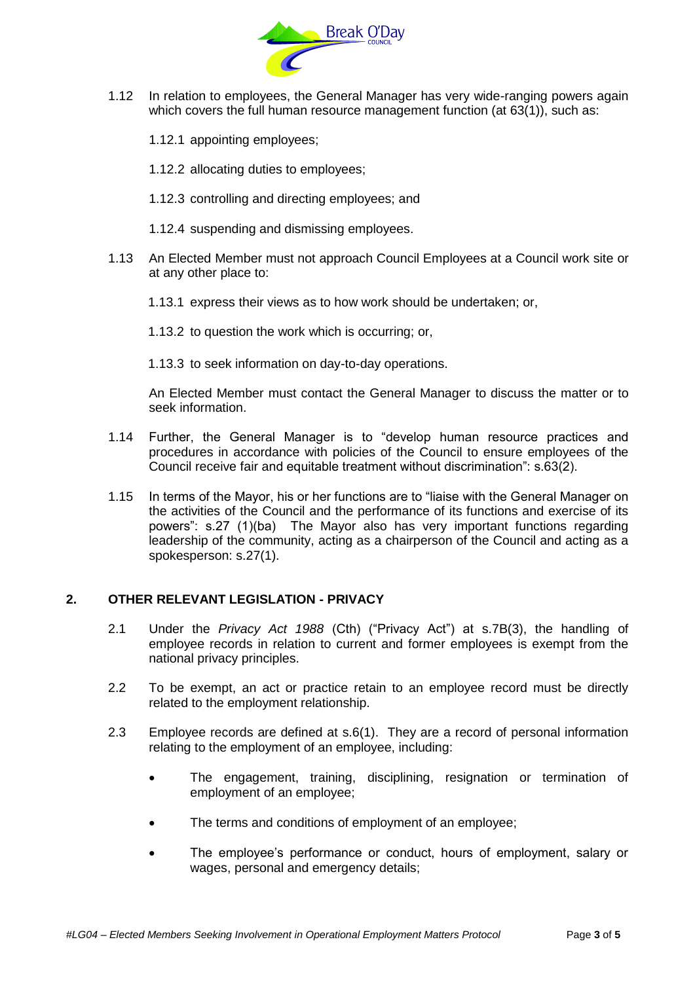

- 1.12 In relation to employees, the General Manager has very wide-ranging powers again which covers the full human resource management function (at 63(1)), such as:
	- 1.12.1 appointing employees;
	- 1.12.2 allocating duties to employees;
	- 1.12.3 controlling and directing employees; and
	- 1.12.4 suspending and dismissing employees.
- 1.13 An Elected Member must not approach Council Employees at a Council work site or at any other place to:
	- 1.13.1 express their views as to how work should be undertaken; or,
	- 1.13.2 to question the work which is occurring; or,
	- 1.13.3 to seek information on day-to-day operations.

An Elected Member must contact the General Manager to discuss the matter or to seek information.

- 1.14 Further, the General Manager is to "develop human resource practices and procedures in accordance with policies of the Council to ensure employees of the Council receive fair and equitable treatment without discrimination": s.63(2).
- 1.15 In terms of the Mayor, his or her functions are to "liaise with the General Manager on the activities of the Council and the performance of its functions and exercise of its powers": s.27 (1)(ba) The Mayor also has very important functions regarding leadership of the community, acting as a chairperson of the Council and acting as a spokesperson: s.27(1).

### **2. OTHER RELEVANT LEGISLATION - PRIVACY**

- 2.1 Under the *Privacy Act 1988* (Cth) ("Privacy Act") at s.7B(3), the handling of employee records in relation to current and former employees is exempt from the national privacy principles.
- 2.2 To be exempt, an act or practice retain to an employee record must be directly related to the employment relationship.
- 2.3 Employee records are defined at s.6(1). They are a record of personal information relating to the employment of an employee, including:
	- The engagement, training, disciplining, resignation or termination of employment of an employee;
	- The terms and conditions of employment of an employee;
	- The employee's performance or conduct, hours of employment, salary or wages, personal and emergency details;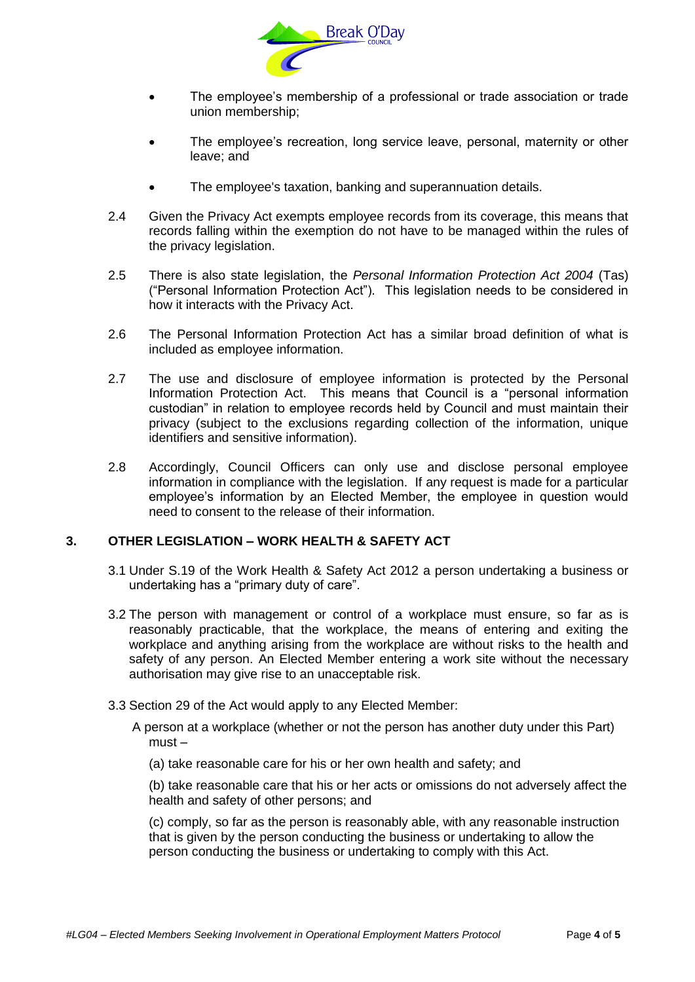

- The employee's membership of a professional or trade association or trade union membership;
- The employee's recreation, long service leave, personal, maternity or other leave; and
- The employee's taxation, banking and superannuation details.
- 2.4 Given the Privacy Act exempts employee records from its coverage, this means that records falling within the exemption do not have to be managed within the rules of the privacy legislation.
- 2.5 There is also state legislation, the *Personal Information Protection Act 2004* (Tas) ("Personal Information Protection Act"). This legislation needs to be considered in how it interacts with the Privacy Act.
- 2.6 The Personal Information Protection Act has a similar broad definition of what is included as employee information.
- 2.7 The use and disclosure of employee information is protected by the Personal Information Protection Act. This means that Council is a "personal information custodian" in relation to employee records held by Council and must maintain their privacy (subject to the exclusions regarding collection of the information, unique identifiers and sensitive information).
- 2.8 Accordingly, Council Officers can only use and disclose personal employee information in compliance with the legislation. If any request is made for a particular employee's information by an Elected Member, the employee in question would need to consent to the release of their information.

### **3. OTHER LEGISLATION – WORK HEALTH & SAFETY ACT**

- 3.1 Under S.19 of the Work Health & Safety Act 2012 a person undertaking a business or undertaking has a "primary duty of care".
- 3.2 The person with management or control of a workplace must ensure, so far as is reasonably practicable, that the workplace, the means of entering and exiting the workplace and anything arising from the workplace are without risks to the health and safety of any person. An Elected Member entering a work site without the necessary authorisation may give rise to an unacceptable risk.
- 3.3 Section 29 of the Act would apply to any Elected Member:
	- A person at a workplace (whether or not the person has another duty under this Part) must –
		- (a) take reasonable care for his or her own health and safety; and

(b) take reasonable care that his or her acts or omissions do not adversely affect the health and safety of other persons; and

(c) comply, so far as the person is reasonably able, with any reasonable instruction that is given by the person conducting the business or undertaking to allow the person conducting the business or undertaking to comply with this Act.